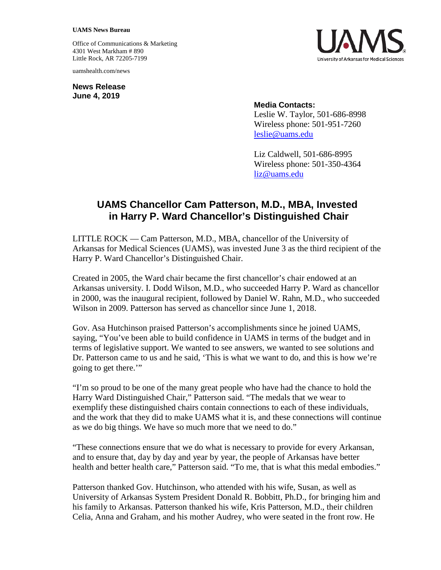## **UAMS News Bureau**

Office of Communications & Marketing 4301 West Markham # 890 Little Rock, AR 72205-7199

uamshealth.com/news

**News Release June 4, 2019**



## **Media Contacts:**

Leslie W. Taylor, 501-686-8998 Wireless phone: 501-951-7260 [leslie@uams.edu](mailto:leslie@uams.edu)

Liz Caldwell, 501-686-8995 Wireless phone: 501-350-4364 [liz@uams.edu](mailto:liz@uams.edu)

## **UAMS Chancellor Cam Patterson, M.D., MBA, Invested in Harry P. Ward Chancellor's Distinguished Chair**

LITTLE ROCK — Cam Patterson, M.D., MBA, chancellor of the University of Arkansas for Medical Sciences (UAMS), was invested June 3 as the third recipient of the Harry P. Ward Chancellor's Distinguished Chair.

Created in 2005, the Ward chair became the first chancellor's chair endowed at an Arkansas university. I. Dodd Wilson, M.D., who succeeded Harry P. Ward as chancellor in 2000, was the inaugural recipient, followed by Daniel W. Rahn, M.D., who succeeded Wilson in 2009. Patterson has served as chancellor since June 1, 2018.

Gov. Asa Hutchinson praised Patterson's accomplishments since he joined UAMS, saying, "You've been able to build confidence in UAMS in terms of the budget and in terms of legislative support. We wanted to see answers, we wanted to see solutions and Dr. Patterson came to us and he said, 'This is what we want to do, and this is how we're going to get there.'"

"I'm so proud to be one of the many great people who have had the chance to hold the Harry Ward Distinguished Chair," Patterson said. "The medals that we wear to exemplify these distinguished chairs contain connections to each of these individuals, and the work that they did to make UAMS what it is, and these connections will continue as we do big things. We have so much more that we need to do."

"These connections ensure that we do what is necessary to provide for every Arkansan, and to ensure that, day by day and year by year, the people of Arkansas have better health and better health care," Patterson said. "To me, that is what this medal embodies."

Patterson thanked Gov. Hutchinson, who attended with his wife, Susan, as well as University of Arkansas System President Donald R. Bobbitt, Ph.D., for bringing him and his family to Arkansas. Patterson thanked his wife, Kris Patterson, M.D., their children Celia, Anna and Graham, and his mother Audrey, who were seated in the front row. He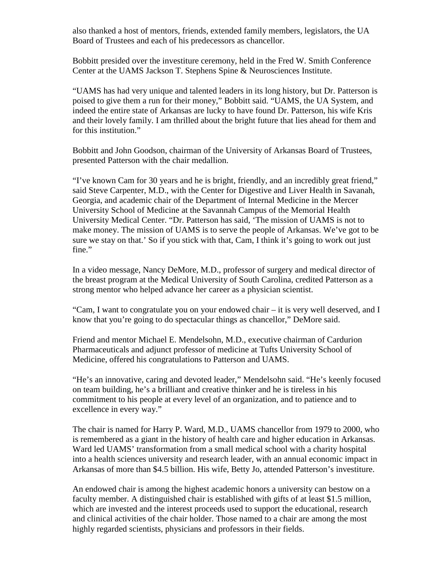also thanked a host of mentors, friends, extended family members, legislators, the UA Board of Trustees and each of his predecessors as chancellor.

Bobbitt presided over the investiture ceremony, held in the Fred W. Smith Conference Center at the UAMS Jackson T. Stephens Spine & Neurosciences Institute.

"UAMS has had very unique and talented leaders in its long history, but Dr. Patterson is poised to give them a run for their money," Bobbitt said. "UAMS, the UA System, and indeed the entire state of Arkansas are lucky to have found Dr. Patterson, his wife Kris and their lovely family. I am thrilled about the bright future that lies ahead for them and for this institution."

Bobbitt and John Goodson, chairman of the University of Arkansas Board of Trustees, presented Patterson with the chair medallion.

"I've known Cam for 30 years and he is bright, friendly, and an incredibly great friend," said Steve Carpenter, M.D., with the Center for Digestive and Liver Health in Savanah, Georgia, and academic chair of the Department of Internal Medicine in the Mercer University School of Medicine at the Savannah Campus of the Memorial Health University Medical Center. "Dr. Patterson has said, 'The mission of UAMS is not to make money. The mission of UAMS is to serve the people of Arkansas. We've got to be sure we stay on that.' So if you stick with that, Cam, I think it's going to work out just fine."

In a video message, Nancy DeMore, M.D., professor of surgery and medical director of the breast program at the Medical University of South Carolina, credited Patterson as a strong mentor who helped advance her career as a physician scientist.

"Cam, I want to congratulate you on your endowed chair – it is very well deserved, and I know that you're going to do spectacular things as chancellor," DeMore said.

Friend and mentor Michael E. Mendelsohn, M.D., executive chairman of Cardurion Pharmaceuticals and adjunct professor of medicine at Tufts University School of Medicine, offered his congratulations to Patterson and UAMS.

"He's an innovative, caring and devoted leader," Mendelsohn said. "He's keenly focused on team building, he's a brilliant and creative thinker and he is tireless in his commitment to his people at every level of an organization, and to patience and to excellence in every way."

The chair is named for Harry P. Ward, M.D., UAMS chancellor from 1979 to 2000, who is remembered as a giant in the history of health care and higher education in Arkansas. Ward led UAMS' transformation from a small medical school with a charity hospital into a health sciences university and research leader, with an annual economic impact in Arkansas of more than \$4.5 billion. His wife, Betty Jo, attended Patterson's investiture.

An endowed chair is among the highest academic honors a university can bestow on a faculty member. A distinguished chair is established with gifts of at least \$1.5 million, which are invested and the interest proceeds used to support the educational, research and clinical activities of the chair holder. Those named to a chair are among the most highly regarded scientists, physicians and professors in their fields.